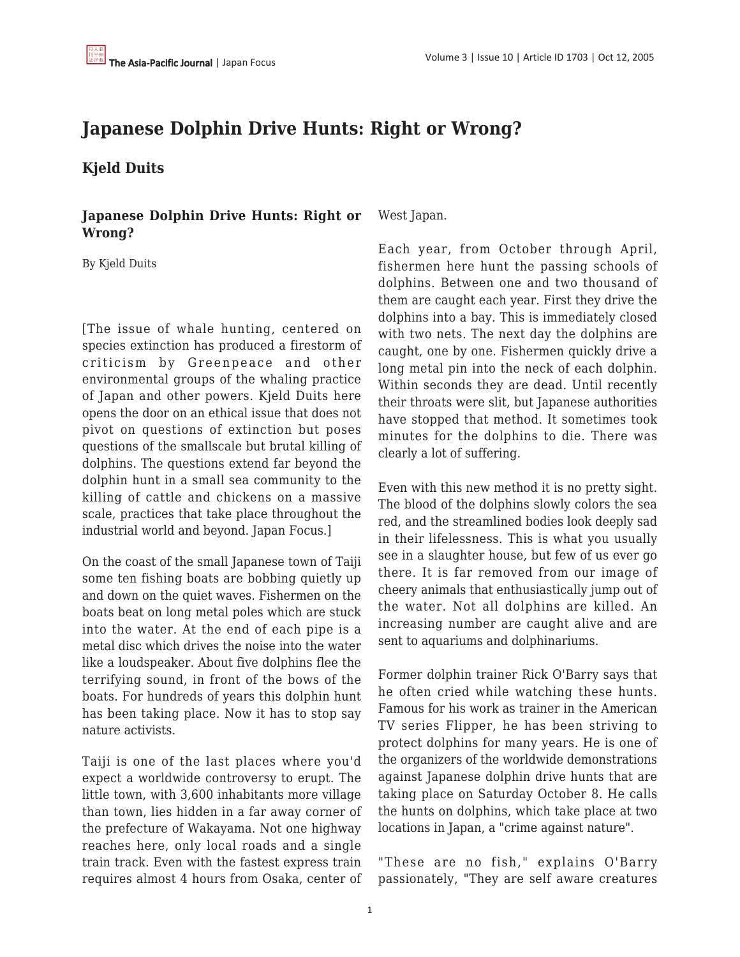## **Japanese Dolphin Drive Hunts: Right or Wrong?**

**Kjeld Duits**

**Japanese Dolphin Drive Hunts: Right or Wrong?**

By Kjeld Duits

[The issue of whale hunting, centered on species extinction has produced a firestorm of criticism by Greenpeace and other environmental groups of the whaling practice of Japan and other powers. Kjeld Duits here opens the door on an ethical issue that does not pivot on questions of extinction but poses questions of the smallscale but brutal killing of dolphins. The questions extend far beyond the dolphin hunt in a small sea community to the killing of cattle and chickens on a massive scale, practices that take place throughout the industrial world and beyond. Japan Focus.]

On the coast of the small Japanese town of Taiji some ten fishing boats are bobbing quietly up and down on the quiet waves. Fishermen on the boats beat on long metal poles which are stuck into the water. At the end of each pipe is a metal disc which drives the noise into the water like a loudspeaker. About five dolphins flee the terrifying sound, in front of the bows of the boats. For hundreds of years this dolphin hunt has been taking place. Now it has to stop say nature activists.

Taiji is one of the last places where you'd expect a worldwide controversy to erupt. The little town, with 3,600 inhabitants more village than town, lies hidden in a far away corner of the prefecture of Wakayama. Not one highway reaches here, only local roads and a single train track. Even with the fastest express train requires almost 4 hours from Osaka, center of West Japan.

Each year, from October through April, fishermen here hunt the passing schools of dolphins. Between one and two thousand of them are caught each year. First they drive the dolphins into a bay. This is immediately closed with two nets. The next day the dolphins are caught, one by one. Fishermen quickly drive a long metal pin into the neck of each dolphin. Within seconds they are dead. Until recently their throats were slit, but Japanese authorities have stopped that method. It sometimes took minutes for the dolphins to die. There was clearly a lot of suffering.

Even with this new method it is no pretty sight. The blood of the dolphins slowly colors the sea red, and the streamlined bodies look deeply sad in their lifelessness. This is what you usually see in a slaughter house, but few of us ever go there. It is far removed from our image of cheery animals that enthusiastically jump out of the water. Not all dolphins are killed. An increasing number are caught alive and are sent to aquariums and dolphinariums.

Former dolphin trainer Rick O'Barry says that he often cried while watching these hunts. Famous for his work as trainer in the American TV series Flipper, he has been striving to protect dolphins for many years. He is one of the organizers of the worldwide demonstrations against Japanese dolphin drive hunts that are taking place on Saturday October 8. He calls the hunts on dolphins, which take place at two locations in Japan, a "crime against nature".

"These are no fish," explains O'Barry passionately, "They are self aware creatures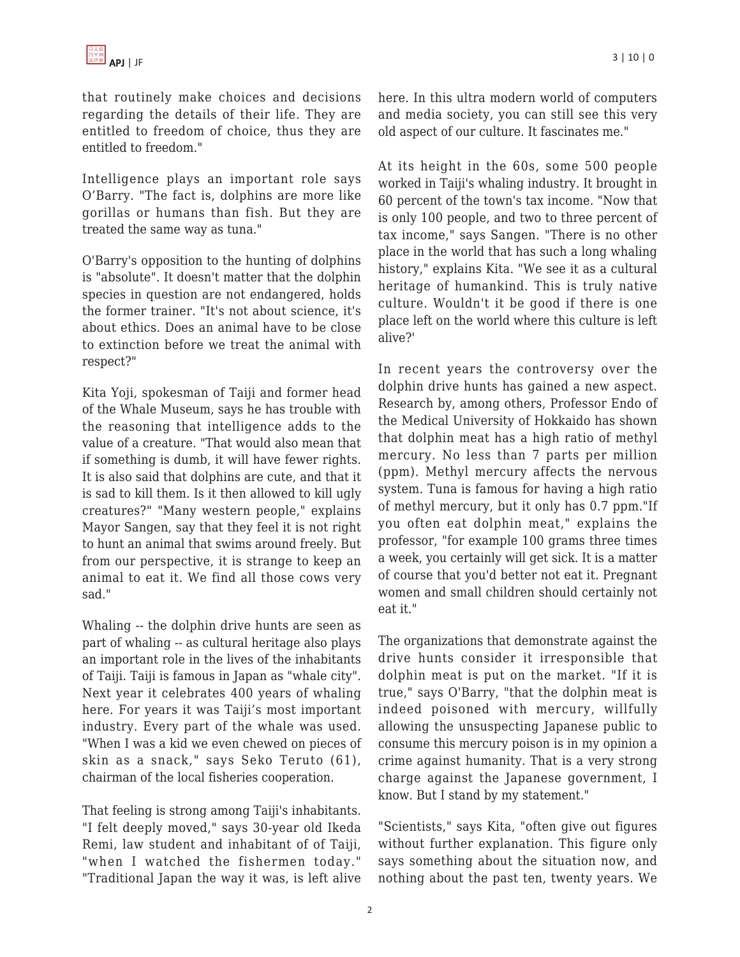that routinely make choices and decisions regarding the details of their life. They are entitled to freedom of choice, thus they are entitled to freedom."

Intelligence plays an important role says O'Barry. "The fact is, dolphins are more like gorillas or humans than fish. But they are treated the same way as tuna."

O'Barry's opposition to the hunting of dolphins is "absolute". It doesn't matter that the dolphin species in question are not endangered, holds the former trainer. "It's not about science, it's about ethics. Does an animal have to be close to extinction before we treat the animal with respect?"

Kita Yoji, spokesman of Taiji and former head of the Whale Museum, says he has trouble with the reasoning that intelligence adds to the value of a creature. "That would also mean that if something is dumb, it will have fewer rights. It is also said that dolphins are cute, and that it is sad to kill them. Is it then allowed to kill ugly creatures?" "Many western people," explains Mayor Sangen, say that they feel it is not right to hunt an animal that swims around freely. But from our perspective, it is strange to keep an animal to eat it. We find all those cows very sad."

Whaling -- the dolphin drive hunts are seen as part of whaling -- as cultural heritage also plays an important role in the lives of the inhabitants of Taiji. Taiji is famous in Japan as "whale city". Next year it celebrates 400 years of whaling here. For years it was Taiji's most important industry. Every part of the whale was used. "When I was a kid we even chewed on pieces of skin as a snack," says Seko Teruto (61), chairman of the local fisheries cooperation.

That feeling is strong among Taiji's inhabitants. "I felt deeply moved," says 30-year old Ikeda Remi, law student and inhabitant of of Taiji, "when I watched the fishermen today." "Traditional Japan the way it was, is left alive

here. In this ultra modern world of computers and media society, you can still see this very old aspect of our culture. It fascinates me."

At its height in the 60s, some 500 people worked in Taiji's whaling industry. It brought in 60 percent of the town's tax income. "Now that is only 100 people, and two to three percent of tax income," says Sangen. "There is no other place in the world that has such a long whaling history," explains Kita. "We see it as a cultural heritage of humankind. This is truly native culture. Wouldn't it be good if there is one place left on the world where this culture is left alive?'

In recent years the controversy over the dolphin drive hunts has gained a new aspect. Research by, among others, Professor Endo of the Medical University of Hokkaido has shown that dolphin meat has a high ratio of methyl mercury. No less than 7 parts per million (ppm). Methyl mercury affects the nervous system. Tuna is famous for having a high ratio of methyl mercury, but it only has 0.7 ppm."If you often eat dolphin meat," explains the professor, "for example 100 grams three times a week, you certainly will get sick. It is a matter of course that you'd better not eat it. Pregnant women and small children should certainly not eat it."

The organizations that demonstrate against the drive hunts consider it irresponsible that dolphin meat is put on the market. "If it is true," says O'Barry, "that the dolphin meat is indeed poisoned with mercury, willfully allowing the unsuspecting Japanese public to consume this mercury poison is in my opinion a crime against humanity. That is a very strong charge against the Japanese government, I know. But I stand by my statement."

"Scientists," says Kita, "often give out figures without further explanation. This figure only says something about the situation now, and nothing about the past ten, twenty years. We